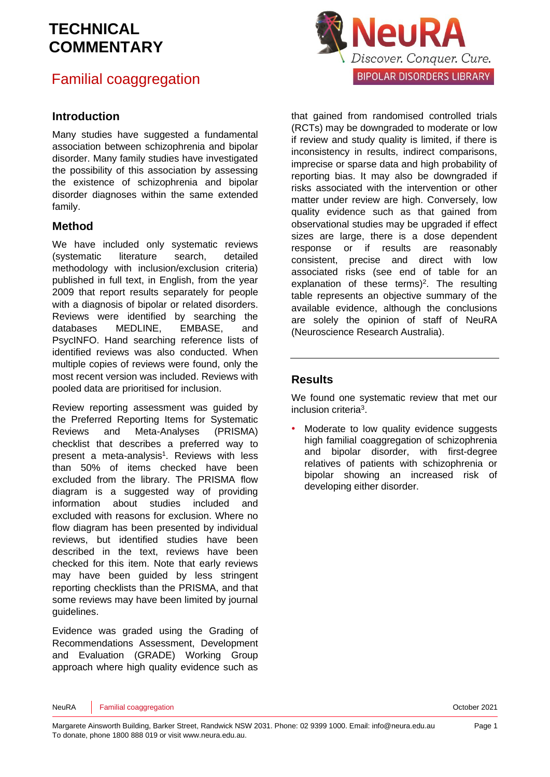## Familial coaggregation

#### **Introduction**

Many studies have suggested a fundamental association between schizophrenia and bipolar disorder. Many family studies have investigated the possibility of this association by assessing the existence of schizophrenia and bipolar disorder diagnoses within the same extended family.

#### **Method**

We have included only systematic reviews (systematic literature search, detailed methodology with inclusion/exclusion criteria) published in full text, in English, from the year 2009 that report results separately for people with a diagnosis of bipolar or related disorders. Reviews were identified by searching the databases MEDLINE, EMBASE, and PsycINFO. Hand searching reference lists of identified reviews was also conducted. When multiple copies of reviews were found, only the most recent version was included. Reviews with pooled data are prioritised for inclusion.

Review reporting assessment was guided by the Preferred Reporting Items for Systematic Reviews and Meta-Analyses (PRISMA) checklist that describes a preferred way to present a meta-analysis<sup>1</sup>. Reviews with less than 50% of items checked have been excluded from the library. The PRISMA flow diagram is a suggested way of providing information about studies included and excluded with reasons for exclusion. Where no flow diagram has been presented by individual reviews, but identified studies have been described in the text, reviews have been checked for this item. Note that early reviews may have been guided by less stringent reporting checklists than the PRISMA, and that some reviews may have been limited by journal guidelines.

Evidence was graded using the Grading of Recommendations Assessment, Development and Evaluation [\(GRADE\)](http://www.gradeworkinggroup.org/) Working Group approach where high quality evidence such as



that gained from randomised controlled trials (RCTs) may be downgraded to moderate or low if review and study quality is limited, if there is inconsistency in results, indirect comparisons, imprecise or sparse data and high probability of reporting bias. It may also be downgraded if risks associated with the intervention or other matter under review are high. Conversely, low quality evidence such as that gained from observational studies may be upgraded if effect sizes are large, there is a dose dependent response or if results are reasonably consistent, precise and direct with low associated risks (see end of table for an explanation of these terms)<sup>2</sup>. The resulting table represents an objective summary of the available evidence, although the conclusions are solely the opinion of staff of NeuRA (Neuroscience Research Australia).

#### **Results**

We found one systematic review that met our inclusion criteria<sup>3</sup> .

Moderate to low quality evidence suggests high familial coaggregation of schizophrenia and bipolar disorder, with first-degree relatives of patients with schizophrenia or bipolar showing an increased risk of developing either disorder.

NeuRA Familial coaggregation October 2021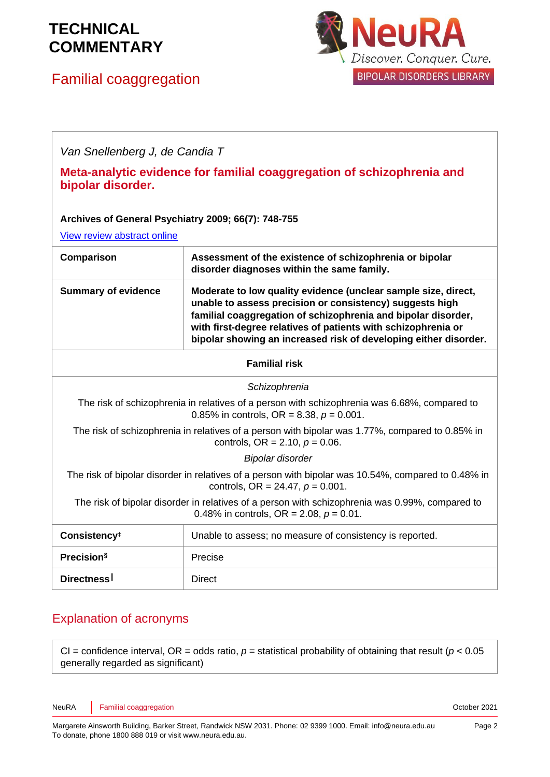## Familial coaggregation



*Van Snellenberg J, de Candia T*

### **Meta-analytic evidence for familial coaggregation of schizophrenia and bipolar disorder.**

#### **Archives of General Psychiatry 2009; 66(7): 748-755**

[View review abstract online](http://archpsyc.jamanetwork.com/article.aspx?volume=66&issue=7&page=748)

| Comparison                 | Assessment of the existence of schizophrenia or bipolar<br>disorder diagnoses within the same family.                                                                                                                                                                                                                            |
|----------------------------|----------------------------------------------------------------------------------------------------------------------------------------------------------------------------------------------------------------------------------------------------------------------------------------------------------------------------------|
| <b>Summary of evidence</b> | Moderate to low quality evidence (unclear sample size, direct,<br>unable to assess precision or consistency) suggests high<br>familial coaggregation of schizophrenia and bipolar disorder,<br>with first-degree relatives of patients with schizophrenia or<br>bipolar showing an increased risk of developing either disorder. |

#### **Familial risk**

#### *Schizophrenia*

The risk of schizophrenia in relatives of a person with schizophrenia was 6.68%, compared to 0.85% in controls, OR = 8.38, *p* = 0.001.

The risk of schizophrenia in relatives of a person with bipolar was 1.77%, compared to 0.85% in controls,  $OR = 2.10$ ,  $p = 0.06$ .

*Bipolar disorder*

The risk of bipolar disorder in relatives of a person with bipolar was 10.54%, compared to 0.48% in controls,  $OR = 24.47$ ,  $p = 0.001$ .

The risk of bipolar disorder in relatives of a person with schizophrenia was 0.99%, compared to 0.48% in controls,  $OR = 2.08$ ,  $p = 0.01$ .

| Consistency <sup>‡</sup>      | Unable to assess; no measure of consistency is reported. |
|-------------------------------|----------------------------------------------------------|
| <b>Precision</b> <sup>§</sup> | Precise                                                  |
| Directness                    | <b>Direct</b>                                            |

### Explanation of acronyms

CI = confidence interval, OR = odds ratio,  $p$  = statistical probability of obtaining that result ( $p$  < 0.05 generally regarded as significant)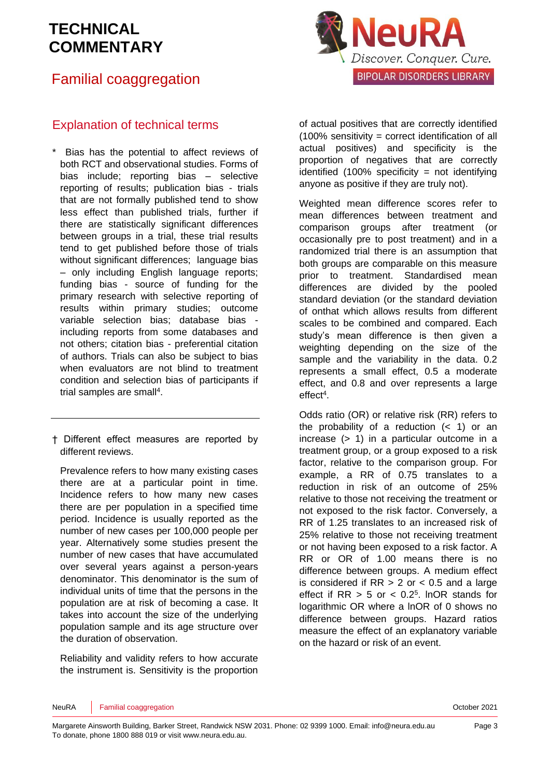## Familial coaggregation



### Explanation of technical terms

- Bias has the potential to affect reviews of both RCT and observational studies. Forms of bias include; reporting bias – selective reporting of results; publication bias - trials that are not formally published tend to show less effect than published trials, further if there are statistically significant differences between groups in a trial, these trial results tend to get published before those of trials without significant differences; language bias – only including English language reports; funding bias - source of funding for the primary research with selective reporting of results within primary studies; outcome variable selection bias; database bias including reports from some databases and not others; citation bias - preferential citation of authors. Trials can also be subject to bias when evaluators are not blind to treatment condition and selection bias of participants if trial samples are small<sup>4</sup>.
- † Different effect measures are reported by different reviews.

Prevalence refers to how many existing cases there are at a particular point in time. Incidence refers to how many new cases there are per population in a specified time period. Incidence is usually reported as the number of new cases per 100,000 people per year. Alternatively some studies present the number of new cases that have accumulated over several years against a person-years denominator. This denominator is the sum of individual units of time that the persons in the population are at risk of becoming a case. It takes into account the size of the underlying population sample and its age structure over the duration of observation.

Reliability and validity refers to how accurate the instrument is. Sensitivity is the proportion of actual positives that are correctly identified (100% sensitivity = correct identification of all actual positives) and specificity is the proportion of negatives that are correctly identified  $(100\%$  specificity = not identifying anyone as positive if they are truly not).

Weighted mean difference scores refer to mean differences between treatment and comparison groups after treatment (or occasionally pre to post treatment) and in a randomized trial there is an assumption that both groups are comparable on this measure prior to treatment. Standardised mean differences are divided by the pooled standard deviation (or the standard deviation of onthat which allows results from different scales to be combined and compared. Each study's mean difference is then given a weighting depending on the size of the sample and the variability in the data. 0.2 represents a small effect, 0.5 a moderate effect, and 0.8 and over represents a large effect<sup>4</sup>.

Odds ratio (OR) or relative risk (RR) refers to the probability of a reduction  $( $1$ )$  or an increase (> 1) in a particular outcome in a treatment group, or a group exposed to a risk factor, relative to the comparison group. For example, a RR of 0.75 translates to a reduction in risk of an outcome of 25% relative to those not receiving the treatment or not exposed to the risk factor. Conversely, a RR of 1.25 translates to an increased risk of 25% relative to those not receiving treatment or not having been exposed to a risk factor. A RR or OR of 1.00 means there is no difference between groups. A medium effect is considered if  $RR > 2$  or  $< 0.5$  and a large effect if  $RR > 5$  or  $< 0.2<sup>5</sup>$ . InOR stands for logarithmic OR where a lnOR of 0 shows no difference between groups. Hazard ratios measure the effect of an explanatory variable on the hazard or risk of an event.

NeuRA Familial coaggregation October 2021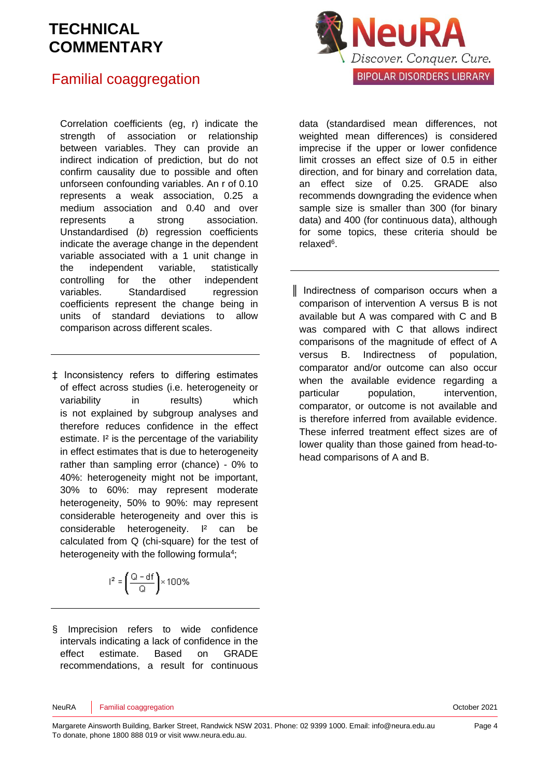### Familial coaggregation

Correlation coefficients (eg, r) indicate the strength of association or relationship between variables. They can provide an indirect indication of prediction, but do not confirm causality due to possible and often unforseen confounding variables. An r of 0.10 represents a weak association, 0.25 a medium association and 0.40 and over represents a strong association. Unstandardised (*b*) regression coefficients indicate the average change in the dependent variable associated with a 1 unit change in the independent variable, statistically controlling for the other independent variables. Standardised regression coefficients represent the change being in units of standard deviations to allow comparison across different scales.

‡ Inconsistency refers to differing estimates of effect across studies (i.e. heterogeneity or variability in results) which is not explained by subgroup analyses and therefore reduces confidence in the effect estimate. I² is the percentage of the variability in effect estimates that is due to heterogeneity rather than sampling error (chance) - 0% to 40%: heterogeneity might not be important, 30% to 60%: may represent moderate heterogeneity, 50% to 90%: may represent considerable heterogeneity and over this is considerable heterogeneity. I² can be calculated from Q (chi-square) for the test of heterogeneity with the following formula<sup>4</sup>;

$$
r^2 = \left(\frac{Q - df}{Q}\right) \times 100\%
$$

§ Imprecision refers to wide confidence intervals indicating a lack of confidence in the effect estimate. Based on GRADE recommendations, a result for continuous



║ Indirectness of comparison occurs when a comparison of intervention A versus B is not available but A was compared with C and B was compared with C that allows indirect comparisons of the magnitude of effect of A versus B. Indirectness of population, comparator and/or outcome can also occur when the available evidence regarding a particular population, intervention, comparator, or outcome is not available and is therefore inferred from available evidence. These inferred treatment effect sizes are of lower quality than those gained from head-tohead comparisons of A and B.

NeuRA Familial coaggregation **Familial** coaggregation **Familial** coaggregation **Familial** coaggregation **Community** 

Margarete Ainsworth Building, Barker Street, Randwick NSW 2031. Phone: 02 9399 1000. Email: info@neura.edu.au To donate, phone 1800 888 019 or visit www.neura.edu.au.